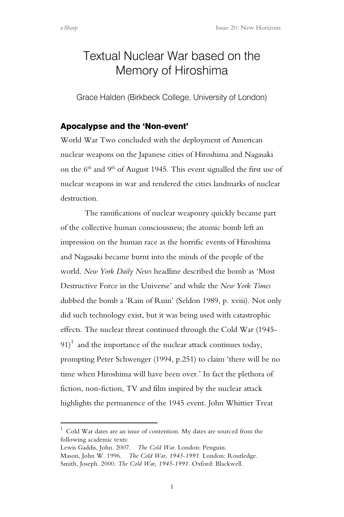# Textual Nuclear War based on the Memory of Hiroshima

Grace Halden (Birkbeck College, University of London)

## Apocalypse and the 'Non-event'

World War Two concluded with the deployment of American nuclear weapons on the Japanese cities of Hiroshima and Nagasaki on the  $6<sup>th</sup>$  and  $9<sup>th</sup>$  of August 1945. This event signalled the first use of nuclear weapons in war and rendered the cities landmarks of nuclear destruction.

The ramifications of nuclear weaponry quickly became part of the collective human consciousness; the atomic bomb left an impression on the human race as the horrific events of Hiroshima and Nagasaki became burnt into the minds of the people of the world. *New York Daily News* headline described the bomb as 'Most Destructive Force in the Universe' and while the *New York Times* dubbed the bomb a 'Rain of Ruin' (Seldon 1989, p. xviii). Not only did such technology exist, but it was being used with catastrophic effects. The nuclear threat continued through the Cold War (1945-  $91)$ <sup>1</sup> and the importance of the nuclear attack continues today, prompting Peter Schwenger (1994, p.251) to claim 'there will be no time when Hiroshima will have been over.' In fact the plethora of fiction, non-fiction, TV and film inspired by the nuclear attack highlights the permanence of the 1945 event. John Whittier Treat

 $\frac{1}{1}$  $1$  Cold War dates are an issue of contention. My dates are sourced from the following academic texts:

Lewis Gaddis, John. 2007. *The Cold War*. London: Penguin. Mason, John W. 1996. *The Cold War, 1945-1991.* London: Routledge. Smith, Joseph. 2000. *The Cold War, 1945-1991.* Oxford: Blackwell.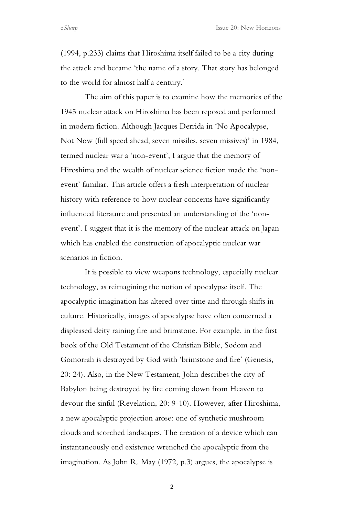e*Sharp* Issue 20: New Horizons

(1994, p.233) claims that Hiroshima itself failed to be a city during the attack and became 'the name of a story. That story has belonged to the world for almost half a century.'

The aim of this paper is to examine how the memories of the 1945 nuclear attack on Hiroshima has been reposed and performed in modern fiction. Although Jacques Derrida in 'No Apocalypse, Not Now (full speed ahead, seven missiles, seven missives)' in 1984, termed nuclear war a 'non-event', I argue that the memory of Hiroshima and the wealth of nuclear science fiction made the 'nonevent' familiar. This article offers a fresh interpretation of nuclear history with reference to how nuclear concerns have significantly influenced literature and presented an understanding of the 'nonevent'. I suggest that it is the memory of the nuclear attack on Japan which has enabled the construction of apocalyptic nuclear war scenarios in fiction.

It is possible to view weapons technology, especially nuclear technology, as reimagining the notion of apocalypse itself. The apocalyptic imagination has altered over time and through shifts in culture. Historically, images of apocalypse have often concerned a displeased deity raining fire and brimstone. For example, in the first book of the Old Testament of the Christian Bible, Sodom and Gomorrah is destroyed by God with 'brimstone and fire' (Genesis, 20: 24). Also, in the New Testament, John describes the city of Babylon being destroyed by fire coming down from Heaven to devour the sinful (Revelation, 20: 9-10). However, after Hiroshima, a new apocalyptic projection arose: one of synthetic mushroom clouds and scorched landscapes. The creation of a device which can instantaneously end existence wrenched the apocalyptic from the imagination. As John R. May (1972, p.3) argues, the apocalypse is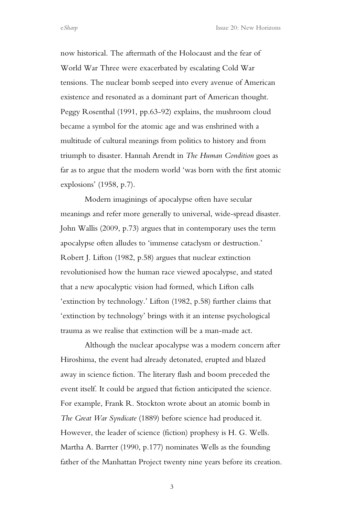now historical. The aftermath of the Holocaust and the fear of World War Three were exacerbated by escalating Cold War tensions. The nuclear bomb seeped into every avenue of American existence and resonated as a dominant part of American thought. Peggy Rosenthal (1991, pp.63-92) explains, the mushroom cloud became a symbol for the atomic age and was enshrined with a multitude of cultural meanings from politics to history and from triumph to disaster. Hannah Arendt in *The Human Condition* goes as far as to argue that the modern world 'was born with the first atomic explosions' (1958, p.7).

Modern imaginings of apocalypse often have secular meanings and refer more generally to universal, wide-spread disaster. John Wallis (2009, p.73) argues that in contemporary uses the term apocalypse often alludes to 'immense cataclysm or destruction.' Robert J. Lifton (1982, p.58) argues that nuclear extinction revolutionised how the human race viewed apocalypse, and stated that a new apocalyptic vision had formed, which Lifton calls 'extinction by technology.' Lifton (1982, p.58) further claims that 'extinction by technology' brings with it an intense psychological trauma as we realise that extinction will be a man-made act.

Although the nuclear apocalypse was a modern concern after Hiroshima, the event had already detonated, erupted and blazed away in science fiction. The literary flash and boom preceded the event itself. It could be argued that fiction anticipated the science. For example, Frank R. Stockton wrote about an atomic bomb in *The Great War Syndicate* (1889) before science had produced it. However, the leader of science (fiction) prophesy is H. G. Wells. Martha A. Barrter (1990, p.177) nominates Wells as the founding father of the Manhattan Project twenty nine years before its creation.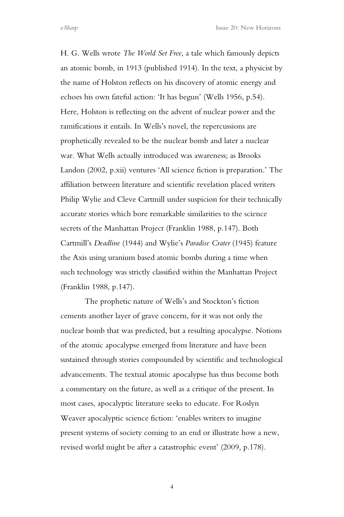H. G. Wells wrote *The World Set Free*, a tale which famously depicts an atomic bomb, in 1913 (published 1914). In the text, a physicist by the name of Holston reflects on his discovery of atomic energy and echoes his own fateful action: 'It has begun' (Wells 1956, p.54). Here, Holston is reflecting on the advent of nuclear power and the ramifications it entails. In Wells's novel, the repercussions are prophetically revealed to be the nuclear bomb and later a nuclear war. What Wells actually introduced was awareness; as Brooks Landon (2002, p.xii) ventures 'All science fiction is preparation.' The affiliation between literature and scientific revelation placed writers Philip Wylie and Cleve Cartmill under suspicion for their technically accurate stories which bore remarkable similarities to the science secrets of the Manhattan Project (Franklin 1988, p.147). Both Cartmill's *Deadline* (1944) and Wylie's *Paradise Crater* (1945) feature the Axis using uranium based atomic bombs during a time when such technology was strictly classified within the Manhattan Project (Franklin 1988, p.147).

The prophetic nature of Wells's and Stockton's fiction cements another layer of grave concern, for it was not only the nuclear bomb that was predicted, but a resulting apocalypse. Notions of the atomic apocalypse emerged from literature and have been sustained through stories compounded by scientific and technological advancements. The textual atomic apocalypse has thus become both a commentary on the future, as well as a critique of the present. In most cases, apocalyptic literature seeks to educate. For Roslyn Weaver apocalyptic science fiction: 'enables writers to imagine present systems of society coming to an end or illustrate how a new, revised world might be after a catastrophic event' (2009, p.178).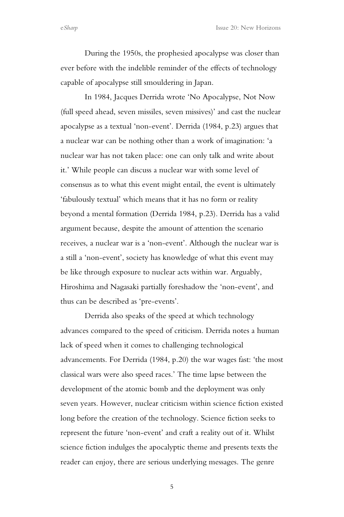e*Sharp* Issue 20: New Horizons

During the 1950s, the prophesied apocalypse was closer than ever before with the indelible reminder of the effects of technology capable of apocalypse still smouldering in Japan.

In 1984, Jacques Derrida wrote 'No Apocalypse, Not Now (full speed ahead, seven missiles, seven missives)' and cast the nuclear apocalypse as a textual 'non-event'. Derrida (1984, p.23) argues that a nuclear war can be nothing other than a work of imagination: 'a nuclear war has not taken place: one can only talk and write about it.' While people can discuss a nuclear war with some level of consensus as to what this event might entail, the event is ultimately 'fabulously textual' which means that it has no form or reality beyond a mental formation (Derrida 1984, p.23). Derrida has a valid argument because, despite the amount of attention the scenario receives, a nuclear war is a 'non-event'. Although the nuclear war is a still a 'non-event', society has knowledge of what this event may be like through exposure to nuclear acts within war. Arguably, Hiroshima and Nagasaki partially foreshadow the 'non-event', and thus can be described as 'pre-events'.

Derrida also speaks of the speed at which technology advances compared to the speed of criticism. Derrida notes a human lack of speed when it comes to challenging technological advancements. For Derrida (1984, p.20) the war wages fast: 'the most classical wars were also speed races.' The time lapse between the development of the atomic bomb and the deployment was only seven years. However, nuclear criticism within science fiction existed long before the creation of the technology. Science fiction seeks to represent the future 'non-event' and craft a reality out of it. Whilst science fiction indulges the apocalyptic theme and presents texts the reader can enjoy, there are serious underlying messages. The genre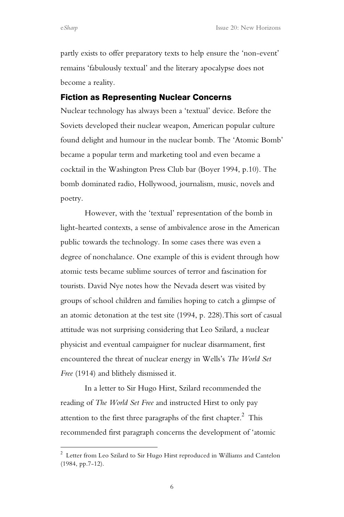partly exists to offer preparatory texts to help ensure the 'non-event' remains 'fabulously textual' and the literary apocalypse does not become a reality.

#### Fiction as Representing Nuclear Concerns

Nuclear technology has always been a 'textual' device. Before the Soviets developed their nuclear weapon, American popular culture found delight and humour in the nuclear bomb. The 'Atomic Bomb' became a popular term and marketing tool and even became a cocktail in the Washington Press Club bar (Boyer 1994, p.10). The bomb dominated radio, Hollywood, journalism, music, novels and poetry.

However, with the 'textual' representation of the bomb in light-hearted contexts, a sense of ambivalence arose in the American public towards the technology. In some cases there was even a degree of nonchalance. One example of this is evident through how atomic tests became sublime sources of terror and fascination for tourists. David Nye notes how the Nevada desert was visited by groups of school children and families hoping to catch a glimpse of an atomic detonation at the test site (1994, p. 228).This sort of casual attitude was not surprising considering that Leo Szilard, a nuclear physicist and eventual campaigner for nuclear disarmament, first encountered the threat of nuclear energy in Wells's *The World Set Free* (1914) and blithely dismissed it.

In a letter to Sir Hugo Hirst, Szilard recommended the reading of *The World Set Free* and instructed Hirst to only pay attention to the first three paragraphs of the first chapter. $^2\,$  This recommended first paragraph concerns the development of 'atomic

 $\frac{1}{2}$ <sup>2</sup> Letter from Leo Szilard to Sir Hugo Hirst reproduced in Williams and Cantelon (1984, pp.7-12).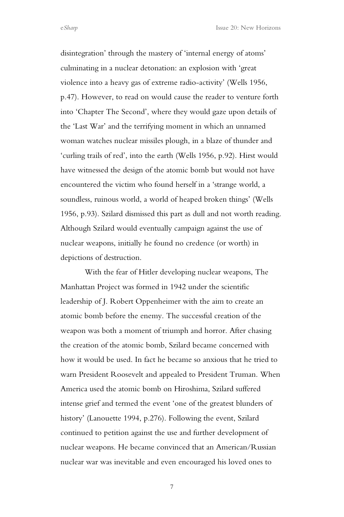disintegration' through the mastery of 'internal energy of atoms' culminating in a nuclear detonation: an explosion with 'great violence into a heavy gas of extreme radio-activity' (Wells 1956, p.47). However, to read on would cause the reader to venture forth into 'Chapter The Second', where they would gaze upon details of the 'Last War' and the terrifying moment in which an unnamed woman watches nuclear missiles plough, in a blaze of thunder and 'curling trails of red', into the earth (Wells 1956, p.92). Hirst would have witnessed the design of the atomic bomb but would not have encountered the victim who found herself in a 'strange world, a soundless, ruinous world, a world of heaped broken things' (Wells 1956, p.93). Szilard dismissed this part as dull and not worth reading. Although Szilard would eventually campaign against the use of nuclear weapons, initially he found no credence (or worth) in depictions of destruction.

With the fear of Hitler developing nuclear weapons, The Manhattan Project was formed in 1942 under the scientific leadership of J. Robert Oppenheimer with the aim to create an atomic bomb before the enemy. The successful creation of the weapon was both a moment of triumph and horror. After chasing the creation of the atomic bomb, Szilard became concerned with how it would be used. In fact he became so anxious that he tried to warn President Roosevelt and appealed to President Truman. When America used the atomic bomb on Hiroshima, Szilard suffered intense grief and termed the event 'one of the greatest blunders of history' (Lanouette 1994, p.276). Following the event, Szilard continued to petition against the use and further development of nuclear weapons. He became convinced that an American/Russian nuclear war was inevitable and even encouraged his loved ones to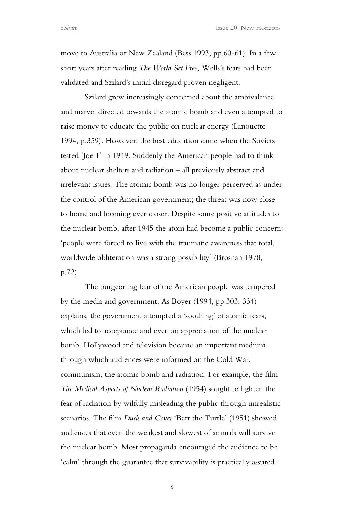move to Australia or New Zealand (Bess 1993, pp.60-61). In a few short years after reading *The World Set Free,* Wells's fears had been validated and Szilard's initial disregard proven negligent.

Szilard grew increasingly concerned about the ambivalence and marvel directed towards the atomic bomb and even attempted to raise money to educate the public on nuclear energy (Lanouette 1994, p.359). However, the best education came when the Soviets tested 'Joe 1' in 1949. Suddenly the American people had to think about nuclear shelters and radiation – all previously abstract and irrelevant issues. The atomic bomb was no longer perceived as under the control of the American government; the threat was now close to home and looming ever closer. Despite some positive attitudes to the nuclear bomb, after 1945 the atom had become a public concern: 'people were forced to live with the traumatic awareness that total, worldwide obliteration was a strong possibility' (Brosnan 1978, p.72).

The burgeoning fear of the American people was tempered by the media and government. As Boyer (1994, pp.303, 334) explains, the government attempted a 'soothing' of atomic fears, which led to acceptance and even an appreciation of the nuclear bomb. Hollywood and television became an important medium through which audiences were informed on the Cold War, communism, the atomic bomb and radiation. For example, the film *The Medical Aspects of Nuclear Radiation* (1954) sought to lighten the fear of radiation by wilfully misleading the public through unrealistic scenarios. The film *Duck and Cover* 'Bert the Turtle' (1951) showed audiences that even the weakest and slowest of animals will survive the nuclear bomb. Most propaganda encouraged the audience to be 'calm' through the guarantee that survivability is practically assured.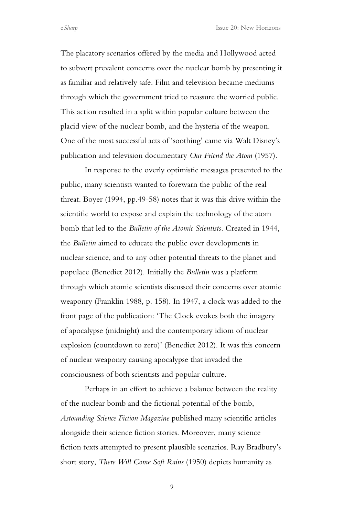The placatory scenarios offered by the media and Hollywood acted to subvert prevalent concerns over the nuclear bomb by presenting it as familiar and relatively safe. Film and television became mediums through which the government tried to reassure the worried public. This action resulted in a split within popular culture between the placid view of the nuclear bomb, and the hysteria of the weapon. One of the most successful acts of 'soothing' came via Walt Disney's publication and television documentary *Our Friend the Atom* (1957).

In response to the overly optimistic messages presented to the public, many scientists wanted to forewarn the public of the real threat. Boyer (1994, pp.49-58) notes that it was this drive within the scientific world to expose and explain the technology of the atom bomb that led to the *Bulletin of the Atomic Scientists*. Created in 1944, the *Bulletin* aimed to educate the public over developments in nuclear science, and to any other potential threats to the planet and populace (Benedict 2012). Initially the *Bulletin* was a platform through which atomic scientists discussed their concerns over atomic weaponry (Franklin 1988, p. 158). In 1947, a clock was added to the front page of the publication: 'The Clock evokes both the imagery of apocalypse (midnight) and the contemporary idiom of nuclear explosion (countdown to zero)' (Benedict 2012). It was this concern of nuclear weaponry causing apocalypse that invaded the consciousness of both scientists and popular culture.

Perhaps in an effort to achieve a balance between the reality of the nuclear bomb and the fictional potential of the bomb, *Astounding Science Fiction Magazine* published many scientific articles alongside their science fiction stories. Moreover, many science fiction texts attempted to present plausible scenarios. Ray Bradbury's short story, *There Will Come Soft Rains* (1950) depicts humanity as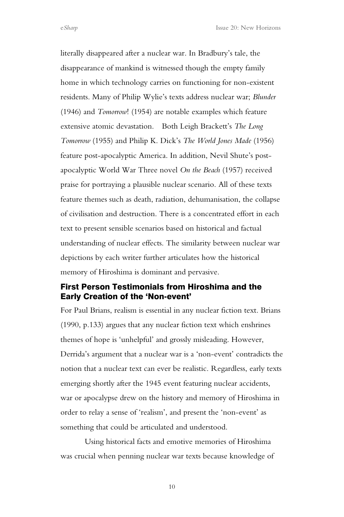literally disappeared after a nuclear war. In Bradbury's tale, the disappearance of mankind is witnessed though the empty family home in which technology carries on functioning for non-existent residents. Many of Philip Wylie's texts address nuclear war; *Blunder* (1946) and *Tomorrow*! (1954) are notable examples which feature extensive atomic devastation. Both Leigh Brackett's *The Long Tomorrow* (1955) and Philip K. Dick's *The World Jones Made* (1956) feature post-apocalyptic America. In addition, Nevil Shute's postapocalyptic World War Three novel *On the Beach* (1957) received praise for portraying a plausible nuclear scenario. All of these texts feature themes such as death, radiation, dehumanisation, the collapse of civilisation and destruction. There is a concentrated effort in each text to present sensible scenarios based on historical and factual understanding of nuclear effects. The similarity between nuclear war depictions by each writer further articulates how the historical memory of Hiroshima is dominant and pervasive.

## First Person Testimonials from Hiroshima and the Early Creation of the 'Non-event'

For Paul Brians, realism is essential in any nuclear fiction text. Brians (1990, p.133) argues that any nuclear fiction text which enshrines themes of hope is 'unhelpful' and grossly misleading. However, Derrida's argument that a nuclear war is a 'non-event' contradicts the notion that a nuclear text can ever be realistic. Regardless, early texts emerging shortly after the 1945 event featuring nuclear accidents, war or apocalypse drew on the history and memory of Hiroshima in order to relay a sense of 'realism', and present the 'non-event' as something that could be articulated and understood.

Using historical facts and emotive memories of Hiroshima was crucial when penning nuclear war texts because knowledge of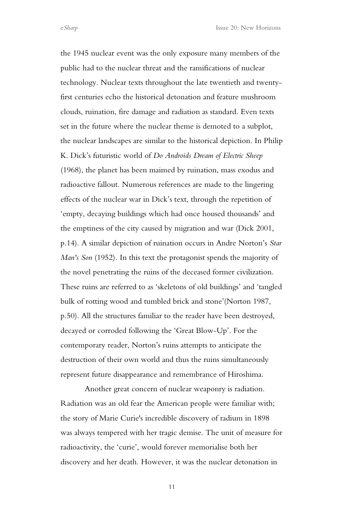the 1945 nuclear event was the only exposure many members of the public had to the nuclear threat and the ramifications of nuclear technology. Nuclear texts throughout the late twentieth and twentyfirst centuries echo the historical detonation and feature mushroom clouds, ruination, fire damage and radiation as standard. Even texts set in the future where the nuclear theme is demoted to a subplot, the nuclear landscapes are similar to the historical depiction. In Philip K. Dick's futuristic world of *Do Androids Dream of Electric Sheep* (1968), the planet has been maimed by ruination, mass exodus and radioactive fallout. Numerous references are made to the lingering effects of the nuclear war in Dick's text, through the repetition of 'empty, decaying buildings which had once housed thousands' and the emptiness of the city caused by migration and war (Dick 2001, p.14). A similar depiction of ruination occurs in Andre Norton's *Star Man's Son* (1952)*.* In this text the protagonist spends the majority of the novel penetrating the ruins of the deceased former civilization. These ruins are referred to as 'skeletons of old buildings' and 'tangled bulk of rotting wood and tumbled brick and stone'(Norton 1987, p.50). All the structures familiar to the reader have been destroyed, decayed or corroded following the 'Great Blow-Up'. For the contemporary reader, Norton's ruins attempts to anticipate the destruction of their own world and thus the ruins simultaneously represent future disappearance and remembrance of Hiroshima.

Another great concern of nuclear weaponry is radiation. Radiation was an old fear the American people were familiar with; the story of Marie Curie's incredible discovery of radium in 1898 was always tempered with her tragic demise. The unit of measure for radioactivity, the 'curie', would forever memorialise both her discovery and her death. However, it was the nuclear detonation in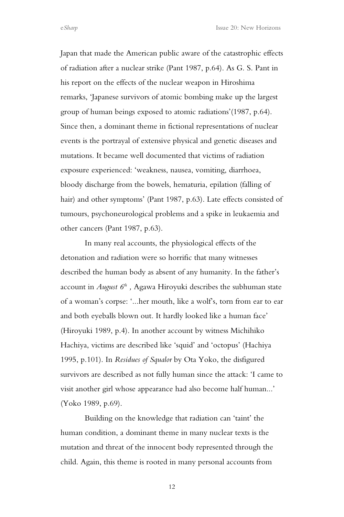Japan that made the American public aware of the catastrophic effects of radiation after a nuclear strike (Pant 1987, p.64). As G. S. Pant in his report on the effects of the nuclear weapon in Hiroshima remarks, 'Japanese survivors of atomic bombing make up the largest group of human beings exposed to atomic radiations'(1987, p.64). Since then, a dominant theme in fictional representations of nuclear events is the portrayal of extensive physical and genetic diseases and mutations. It became well documented that victims of radiation exposure experienced: 'weakness, nausea, vomiting, diarrhoea, bloody discharge from the bowels, hematuria, epilation (falling of hair) and other symptoms' (Pant 1987, p.63). Late effects consisted of tumours, psychoneurological problems and a spike in leukaemia and other cancers (Pant 1987, p.63).

In many real accounts, the physiological effects of the detonation and radiation were so horrific that many witnesses described the human body as absent of any humanity. In the father's account in *August 6th ,* Agawa Hiroyuki describes the subhuman state of a woman's corpse: '...her mouth, like a wolf's, torn from ear to ear and both eyeballs blown out. It hardly looked like a human face' (Hiroyuki 1989, p.4). In another account by witness Michihiko Hachiya, victims are described like 'squid' and 'octopus' (Hachiya 1995, p.101). In *Residues of Squalor* by Ota Yoko, the disfigured survivors are described as not fully human since the attack: 'I came to visit another girl whose appearance had also become half human...' (Yoko 1989, p.69).

Building on the knowledge that radiation can 'taint' the human condition, a dominant theme in many nuclear texts is the mutation and threat of the innocent body represented through the child. Again, this theme is rooted in many personal accounts from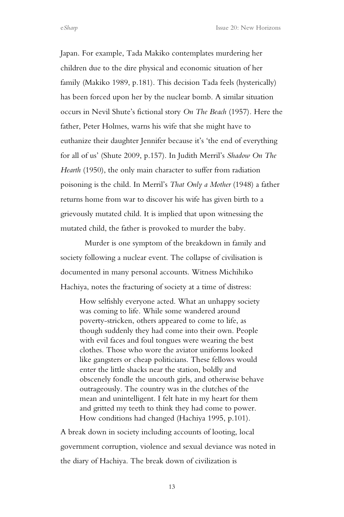Japan. For example, Tada Makiko contemplates murdering her children due to the dire physical and economic situation of her family (Makiko 1989, p.181). This decision Tada feels (hysterically) has been forced upon her by the nuclear bomb. A similar situation occurs in Nevil Shute's fictional story *On The Beach* (1957)*.* Here the father, Peter Holmes, warns his wife that she might have to euthanize their daughter Jennifer because it's 'the end of everything for all of us' (Shute 2009, p.157). In Judith Merril's *Shadow On The Hearth* (1950), the only main character to suffer from radiation poisoning is the child. In Merril's *That Only a Mother* (1948) a father returns home from war to discover his wife has given birth to a grievously mutated child. It is implied that upon witnessing the mutated child, the father is provoked to murder the baby.

Murder is one symptom of the breakdown in family and society following a nuclear event. The collapse of civilisation is documented in many personal accounts. Witness Michihiko Hachiya, notes the fracturing of society at a time of distress:

How selfishly everyone acted. What an unhappy society was coming to life. While some wandered around poverty-stricken, others appeared to come to life, as though suddenly they had come into their own. People with evil faces and foul tongues were wearing the best clothes. Those who wore the aviator uniforms looked like gangsters or cheap politicians. These fellows would enter the little shacks near the station, boldly and obscenely fondle the uncouth girls, and otherwise behave outrageously. The country was in the clutches of the mean and unintelligent. I felt hate in my heart for them and gritted my teeth to think they had come to power. How conditions had changed (Hachiya 1995, p.101).

A break down in society including accounts of looting, local government corruption, violence and sexual deviance was noted in the diary of Hachiya. The break down of civilization is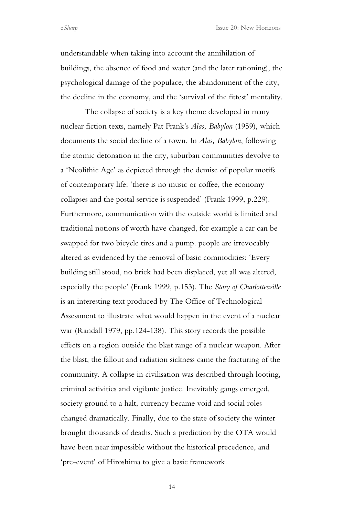understandable when taking into account the annihilation of buildings, the absence of food and water (and the later rationing), the psychological damage of the populace, the abandonment of the city, the decline in the economy, and the 'survival of the fittest' mentality.

The collapse of society is a key theme developed in many nuclear fiction texts, namely Pat Frank's *Alas, Babylon* (1959), which documents the social decline of a town. In *Alas, Babylon*, following the atomic detonation in the city, suburban communities devolve to a 'Neolithic Age' as depicted through the demise of popular motifs of contemporary life: 'there is no music or coffee, the economy collapses and the postal service is suspended' (Frank 1999, p.229). Furthermore, communication with the outside world is limited and traditional notions of worth have changed, for example a car can be swapped for two bicycle tires and a pump. people are irrevocably altered as evidenced by the removal of basic commodities: 'Every building still stood, no brick had been displaced, yet all was altered, especially the people' (Frank 1999, p.153). The *Story of Charlottesville* is an interesting text produced by The Office of Technological Assessment to illustrate what would happen in the event of a nuclear war (Randall 1979, pp.124-138). This story records the possible effects on a region outside the blast range of a nuclear weapon. After the blast, the fallout and radiation sickness came the fracturing of the community. A collapse in civilisation was described through looting, criminal activities and vigilante justice. Inevitably gangs emerged, society ground to a halt, currency became void and social roles changed dramatically. Finally, due to the state of society the winter brought thousands of deaths. Such a prediction by the OTA would have been near impossible without the historical precedence, and 'pre-event' of Hiroshima to give a basic framework.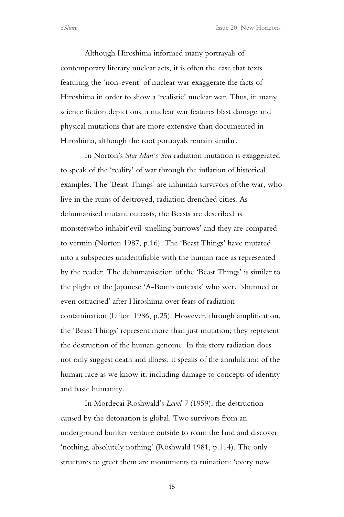Although Hiroshima informed many portrayals of contemporary literary nuclear acts, it is often the case that texts featuring the 'non-event' of nuclear war exaggerate the facts of Hiroshima in order to show a 'realistic' nuclear war. Thus, in many science fiction depictions, a nuclear war features blast damage and physical mutations that are more extensive than documented in Hiroshima, although the root portrayals remain similar.

In Norton's *Star Man's Son* radiation mutation is exaggerated to speak of the 'reality' of war through the inflation of historical examples. The 'Beast Things' are inhuman survivors of the war, who live in the ruins of destroyed, radiation drenched cities. As dehumanised mutant outcasts, the Beasts are described as monsterswho inhabit'evil-smelling burrows' and they are compared to vermin (Norton 1987, p.16). The 'Beast Things' have mutated into a subspecies unidentifiable with the human race as represented by the reader. The dehumanisation of the 'Beast Things' is similar to the plight of the Japanese 'A-Bomb outcasts' who were 'shunned or even ostracised' after Hiroshima over fears of radiation contamination (Lifton 1986, p.25). However, through amplification, the 'Beast Things' represent more than just mutation; they represent the destruction of the human genome. In this story radiation does not only suggest death and illness, it speaks of the annihilation of the human race as we know it, including damage to concepts of identity and basic humanity.

In Mordecai Roshwald's *Level 7* (1959), the destruction caused by the detonation is global. Two survivors from an underground bunker venture outside to roam the land and discover 'nothing, absolutely nothing' (Roshwald 1981, p.114). The only structures to greet them are monuments to ruination: 'every now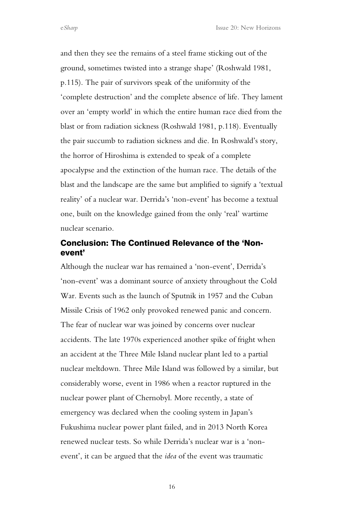and then they see the remains of a steel frame sticking out of the ground, sometimes twisted into a strange shape' (Roshwald 1981, p.115). The pair of survivors speak of the uniformity of the 'complete destruction' and the complete absence of life. They lament over an 'empty world' in which the entire human race died from the blast or from radiation sickness (Roshwald 1981, p.118). Eventually the pair succumb to radiation sickness and die. In Roshwald's story, the horror of Hiroshima is extended to speak of a complete apocalypse and the extinction of the human race. The details of the blast and the landscape are the same but amplified to signify a 'textual reality' of a nuclear war. Derrida's 'non-event' has become a textual one, built on the knowledge gained from the only 'real' wartime nuclear scenario.

## Conclusion: The Continued Relevance of the 'Nonevent'

Although the nuclear war has remained a 'non-event', Derrida's 'non-event' was a dominant source of anxiety throughout the Cold War. Events such as the launch of Sputnik in 1957 and the Cuban Missile Crisis of 1962 only provoked renewed panic and concern. The fear of nuclear war was joined by concerns over nuclear accidents. The late 1970s experienced another spike of fright when an accident at the Three Mile Island nuclear plant led to a partial nuclear meltdown. Three Mile Island was followed by a similar, but considerably worse, event in 1986 when a reactor ruptured in the nuclear power plant of Chernobyl. More recently, a state of emergency was declared when the cooling system in Japan's Fukushima nuclear power plant failed, and in 2013 North Korea renewed nuclear tests. So while Derrida's nuclear war is a 'nonevent', it can be argued that the *idea* of the event was traumatic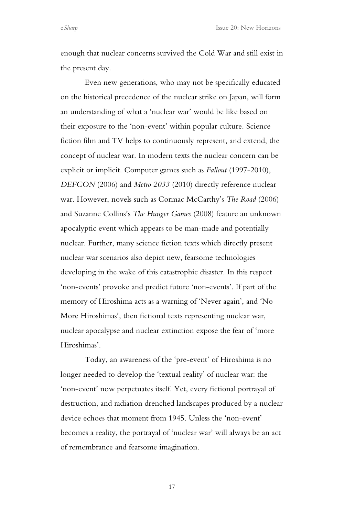enough that nuclear concerns survived the Cold War and still exist in the present day.

Even new generations, who may not be specifically educated on the historical precedence of the nuclear strike on Japan, will form an understanding of what a 'nuclear war' would be like based on their exposure to the 'non-event' within popular culture. Science fiction film and TV helps to continuously represent, and extend, the concept of nuclear war. In modern texts the nuclear concern can be explicit or implicit. Computer games such as *Fallout* (1997-2010), *DEFCON* (2006) and *Metro 2033* (2010) directly reference nuclear war. However, novels such as Cormac McCarthy's *The Road* (2006) and Suzanne Collins's *The Hunger Games* (2008) feature an unknown apocalyptic event which appears to be man-made and potentially nuclear. Further, many science fiction texts which directly present nuclear war scenarios also depict new, fearsome technologies developing in the wake of this catastrophic disaster. In this respect 'non-events' provoke and predict future 'non-events'. If part of the memory of Hiroshima acts as a warning of 'Never again', and 'No More Hiroshimas', then fictional texts representing nuclear war, nuclear apocalypse and nuclear extinction expose the fear of 'more Hiroshimas'.

Today, an awareness of the 'pre-event' of Hiroshima is no longer needed to develop the 'textual reality' of nuclear war: the 'non-event' now perpetuates itself. Yet, every fictional portrayal of destruction, and radiation drenched landscapes produced by a nuclear device echoes that moment from 1945. Unless the 'non-event' becomes a reality, the portrayal of 'nuclear war' will always be an act of remembrance and fearsome imagination.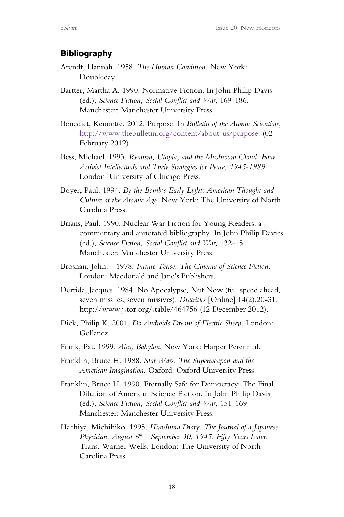#### **Bibliography**

- Arendt, Hannah. 1958. *The Human Condition.* New York: Doubleday.
- Bartter, Martha A. 1990. Normative Fiction. In John Philip Davis (ed.), *Science Fiction, Social Conflict and War*, 169-186. Manchester: Manchester University Press.
- Benedict, Kennette. 2012. Purpose. In *Bulletin of the Atomic Scientists*, http://www.thebulletin.org/content/about-us/purpose. (02 February 2012)
- Bess, Michael. 1993. *Realism, Utopia, and the Mushroom Cloud. Four Activist Intellectuals and Their Strategies for Peace, 1945-1989.*  London: University of Chicago Press.
- Boyer, Paul, 1994. *By the Bomb's Early Light: American Thought and Culture at the Atomic Age*. New York: The University of North Carolina Press.
- Brians, Paul. 1990. Nuclear War Fiction for Young Readers: a commentary and annotated bibliography. In John Philip Davies (ed.), *Science Fiction, Social Conflict and War,* 132-151. Manchester: Manchester University Press.
- Brosnan, John. 1978. *Future Tense. The Cinema of Science Fiction.*  London: Macdonald and Jane's Publishers.
- Derrida, Jacques. 1984. No Apocalypse, Not Now (full speed ahead, seven missiles, seven missives). *Diacritics* [Online] 14(2).20-31. http://www.jstor.org/stable/464756 (12 December 2012).
- Dick, Philip K. 2001. *Do Androids Dream of Electric Sheep.* London: Gollancz.
- Frank, Pat. 1999. *Alas, Babylon*. New York: Harper Perennial.
- Franklin, Bruce H. 1988. *Star Wars. The Superweapon and the American Imagination.* Oxford: Oxford University Press.
- Franklin, Bruce H. 1990. Eternally Safe for Democracy: The Final Dilution of American Science Fiction. In John Philip Davis (ed.), *Science Fiction, Social Conflict and War,* 151-169*.*  Manchester: Manchester University Press.
- Hachiya, Michihiko. 1995. *Hiroshima Diary. The Journal of a Japanese Physician, August 6<sup>th</sup> – September 30, 1945. Fifty Years Later.* Trans. Warner Wells. London: The University of North Carolina Press.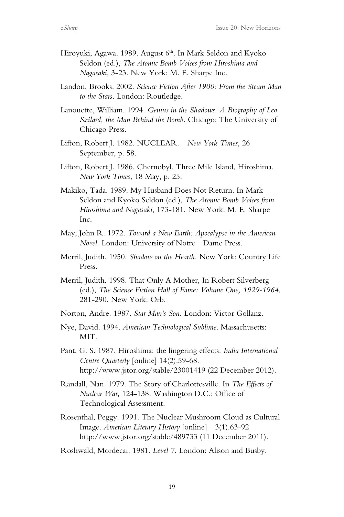- Hiroyuki, Agawa. 1989. August 6<sup>th</sup>. In Mark Seldon and Kyoko Seldon (ed.), *The Atomic Bomb Voices from Hiroshima and Nagasaki*, 3-23. New York: M. E. Sharpe Inc.
- Landon, Brooks. 2002. *Science Fiction After 1900: From the Steam Man to the Stars.* London: Routledge.
- Lanouette, William. 1994. *Genius in the Shadows. A Biography of Leo Szilard, the Man Behind the Bomb.* Chicago: The University of Chicago Press.
- Lifton, Robert J. 1982. NUCLEAR. *New York Times*, 26 September, p. 58.
- Lifton, Robert J. 1986. Chernobyl, Three Mile Island, Hiroshima. *New York Times,* 18 May, p. 25.
- Makiko, Tada. 1989. My Husband Does Not Return. In Mark Seldon and Kyoko Seldon (ed.), *The Atomic Bomb Voices from Hiroshima and Nagasaki*, 173-181. New York: M. E. Sharpe Inc.
- May, John R. 1972. *Toward a New Earth: Apocalypse in the American Novel.* London: University of Notre Dame Press.
- Merril, Judith. 1950. *Shadow on the Hearth.* New York: Country Life Press.
- Merril, Judith. 1998. That Only A Mother, In Robert Silverberg (ed.), *The Science Fiction Hall of Fame: Volume One, 1929-1964*, 281-290. New York: Orb.
- Norton, Andre. 1987. *Star Man's Son.* London: Victor Gollanz.
- Nye, David. 1994. *American Technological Sublime*. Massachusetts: MIT.
- Pant, G. S. 1987. Hiroshima: the lingering effects. *India International Centre Quarterly* [online] 14(2).59-68. http://www.jstor.org/stable/23001419 (22 December 2012).
- Randall, Nan. 1979. The Story of Charlottesville. In *The Effects of Nuclear War,* 124-138. Washington D.C.: Office of Technological Assessment.
- Rosenthal, Peggy. 1991. The Nuclear Mushroom Cloud as Cultural Image. *American Literary History* [online] 3(1).63-92 http://www.jstor.org/stable/489733 (11 December 2011).

Roshwald, Mordecai. 1981. *Level 7.* London: Alison and Busby.